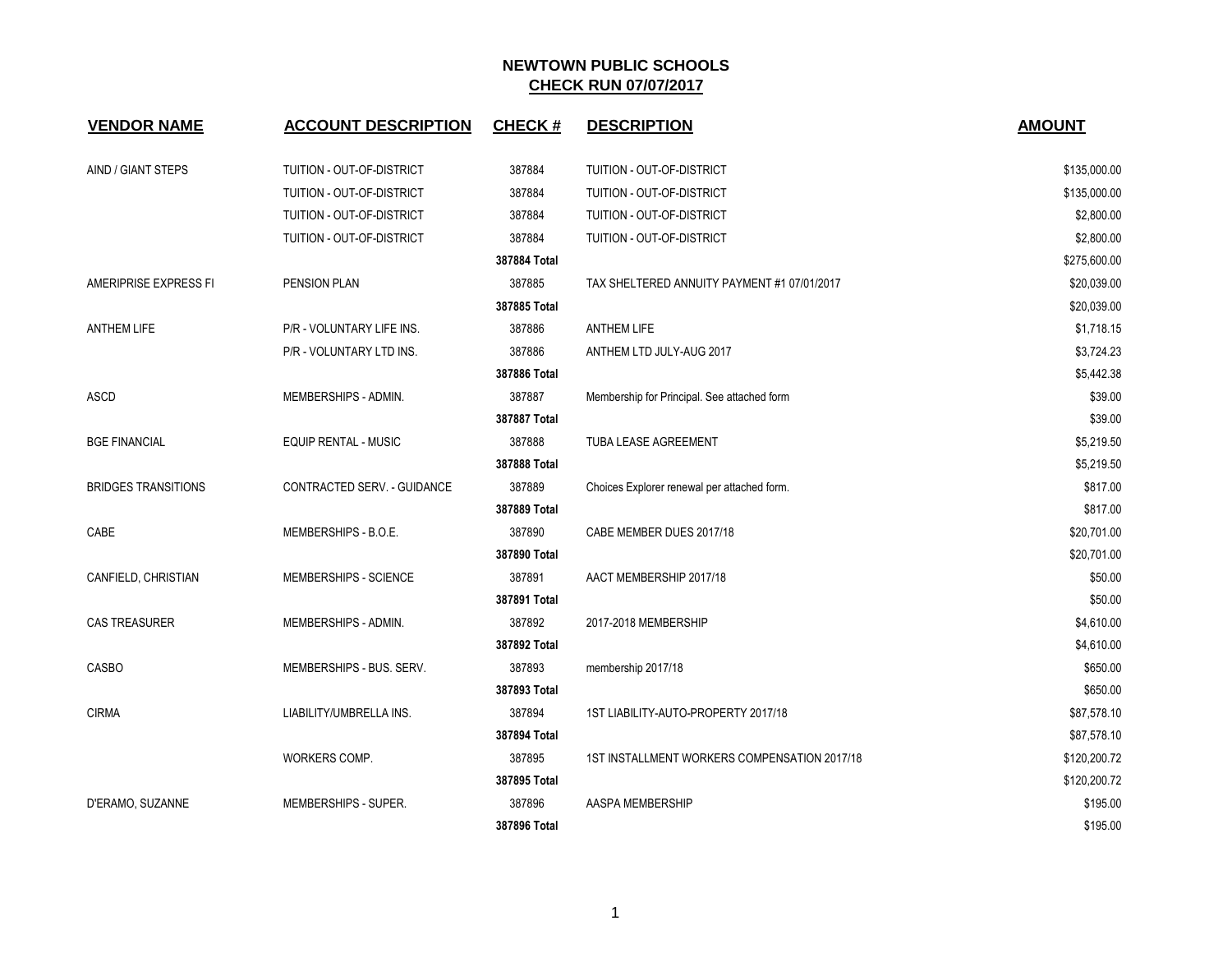| <b>VENDOR NAME</b>         | <b>ACCOUNT DESCRIPTION</b>  | <b>CHECK#</b> | <b>DESCRIPTION</b>                           | <b>AMOUNT</b> |
|----------------------------|-----------------------------|---------------|----------------------------------------------|---------------|
| AIND / GIANT STEPS         | TUITION - OUT-OF-DISTRICT   | 387884        | TUITION - OUT-OF-DISTRICT                    | \$135,000.00  |
|                            | TUITION - OUT-OF-DISTRICT   | 387884        | TUITION - OUT-OF-DISTRICT                    | \$135,000.00  |
|                            | TUITION - OUT-OF-DISTRICT   | 387884        | TUITION - OUT-OF-DISTRICT                    | \$2,800.00    |
|                            | TUITION - OUT-OF-DISTRICT   | 387884        | TUITION - OUT-OF-DISTRICT                    | \$2,800.00    |
|                            |                             | 387884 Total  |                                              | \$275,600.00  |
| AMERIPRISE EXPRESS FI      | <b>PENSION PLAN</b>         | 387885        | TAX SHELTERED ANNUITY PAYMENT #1 07/01/2017  | \$20,039.00   |
|                            |                             | 387885 Total  |                                              | \$20,039.00   |
| <b>ANTHEM LIFE</b>         | P/R - VOLUNTARY LIFE INS.   | 387886        | <b>ANTHEM LIFE</b>                           | \$1,718.15    |
|                            | P/R - VOLUNTARY LTD INS.    | 387886        | ANTHEM LTD JULY-AUG 2017                     | \$3,724.23    |
|                            |                             | 387886 Total  |                                              | \$5,442.38    |
| <b>ASCD</b>                | MEMBERSHIPS - ADMIN.        | 387887        | Membership for Principal. See attached form  | \$39.00       |
|                            |                             | 387887 Total  |                                              | \$39.00       |
| <b>BGE FINANCIAL</b>       | <b>EQUIP RENTAL - MUSIC</b> | 387888        | TUBA LEASE AGREEMENT                         | \$5,219.50    |
|                            |                             | 387888 Total  |                                              | \$5,219.50    |
| <b>BRIDGES TRANSITIONS</b> | CONTRACTED SERV. - GUIDANCE | 387889        | Choices Explorer renewal per attached form.  | \$817.00      |
|                            |                             | 387889 Total  |                                              | \$817.00      |
| CABE                       | MEMBERSHIPS - B.O.E.        | 387890        | CABE MEMBER DUES 2017/18                     | \$20,701.00   |
|                            |                             | 387890 Total  |                                              | \$20,701.00   |
| CANFIELD, CHRISTIAN        | MEMBERSHIPS - SCIENCE       | 387891        | AACT MEMBERSHIP 2017/18                      | \$50.00       |
|                            |                             | 387891 Total  |                                              | \$50.00       |
| <b>CAS TREASURER</b>       | MEMBERSHIPS - ADMIN.        | 387892        | 2017-2018 MEMBERSHIP                         | \$4,610.00    |
|                            |                             | 387892 Total  |                                              | \$4,610.00    |
| CASBO                      | MEMBERSHIPS - BUS. SERV.    | 387893        | membership 2017/18                           | \$650.00      |
|                            |                             | 387893 Total  |                                              | \$650.00      |
| <b>CIRMA</b>               | LIABILITY/UMBRELLA INS.     | 387894        | 1ST LIABILITY-AUTO-PROPERTY 2017/18          | \$87,578.10   |
|                            |                             | 387894 Total  |                                              | \$87,578.10   |
|                            | WORKERS COMP.               | 387895        | 1ST INSTALLMENT WORKERS COMPENSATION 2017/18 | \$120,200.72  |
|                            |                             | 387895 Total  |                                              | \$120,200.72  |
| D'ERAMO, SUZANNE           | MEMBERSHIPS - SUPER.        | 387896        | AASPA MEMBERSHIP                             | \$195.00      |
|                            |                             | 387896 Total  |                                              | \$195.00      |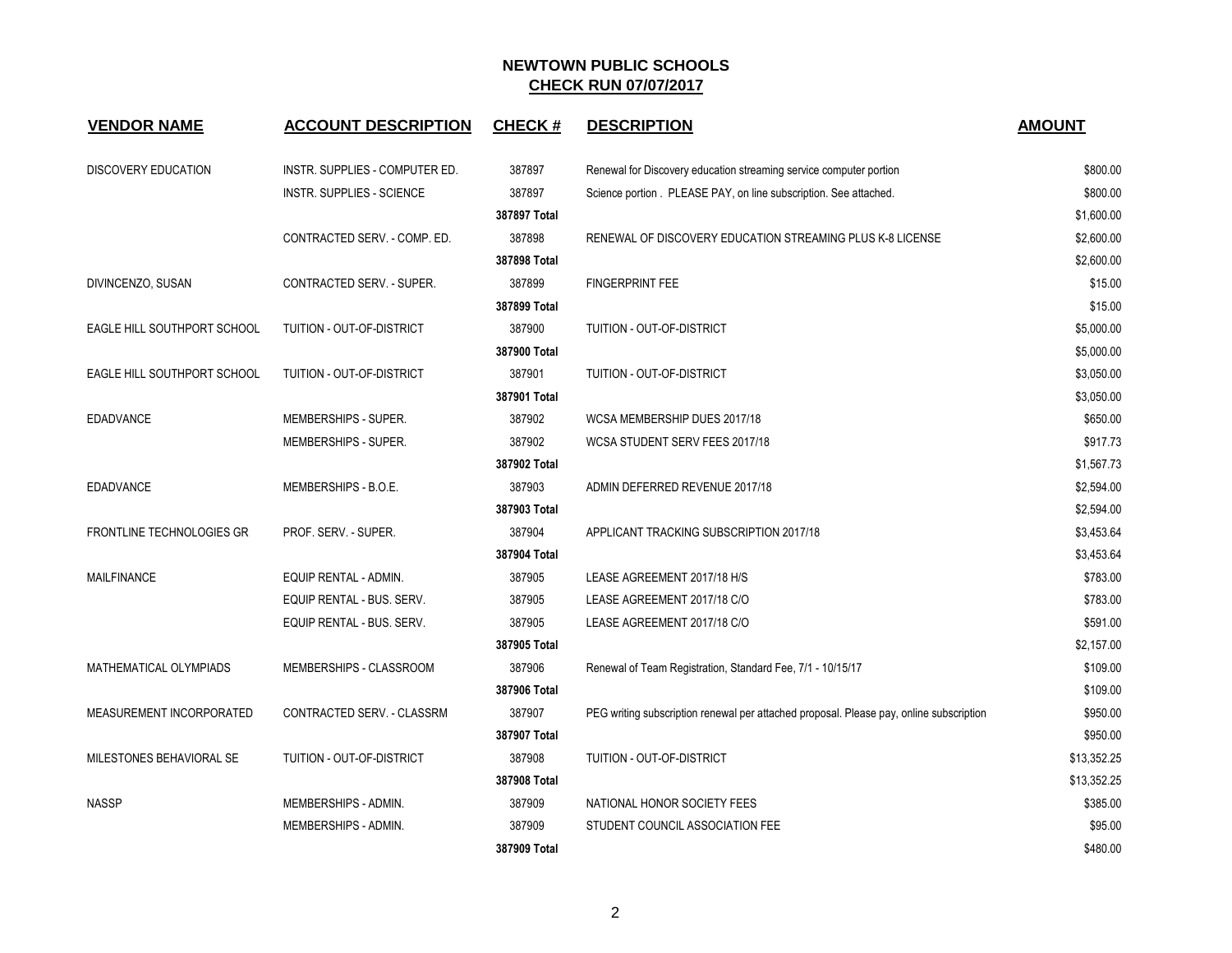| <b>VENDOR NAME</b>               | <b>ACCOUNT DESCRIPTION</b>       | <b>CHECK#</b> | <b>DESCRIPTION</b>                                                                      | <b>AMOUNT</b> |
|----------------------------------|----------------------------------|---------------|-----------------------------------------------------------------------------------------|---------------|
| <b>DISCOVERY EDUCATION</b>       | INSTR. SUPPLIES - COMPUTER ED.   | 387897        | Renewal for Discovery education streaming service computer portion                      | \$800.00      |
|                                  | <b>INSTR. SUPPLIES - SCIENCE</b> | 387897        | Science portion . PLEASE PAY, on line subscription. See attached.                       | \$800.00      |
|                                  |                                  | 387897 Total  |                                                                                         | \$1,600.00    |
|                                  | CONTRACTED SERV. - COMP. ED.     | 387898        | RENEWAL OF DISCOVERY EDUCATION STREAMING PLUS K-8 LICENSE                               | \$2,600.00    |
|                                  |                                  | 387898 Total  |                                                                                         | \$2,600.00    |
| DIVINCENZO, SUSAN                | CONTRACTED SERV. - SUPER.        | 387899        | <b>FINGERPRINT FEE</b>                                                                  | \$15.00       |
|                                  |                                  | 387899 Total  |                                                                                         | \$15.00       |
| EAGLE HILL SOUTHPORT SCHOOL      | TUITION - OUT-OF-DISTRICT        | 387900        | TUITION - OUT-OF-DISTRICT                                                               | \$5,000.00    |
|                                  |                                  | 387900 Total  |                                                                                         | \$5,000.00    |
| EAGLE HILL SOUTHPORT SCHOOL      | TUITION - OUT-OF-DISTRICT        | 387901        | TUITION - OUT-OF-DISTRICT                                                               | \$3,050.00    |
|                                  |                                  | 387901 Total  |                                                                                         | \$3,050.00    |
| <b>EDADVANCE</b>                 | MEMBERSHIPS - SUPER.             | 387902        | WCSA MEMBERSHIP DUES 2017/18                                                            | \$650.00      |
|                                  | MEMBERSHIPS - SUPER.             | 387902        | WCSA STUDENT SERV FEES 2017/18                                                          | \$917.73      |
|                                  |                                  | 387902 Total  |                                                                                         | \$1,567.73    |
| EDADVANCE                        | MEMBERSHIPS - B.O.E.             | 387903        | ADMIN DEFERRED REVENUE 2017/18                                                          | \$2,594.00    |
|                                  |                                  | 387903 Total  |                                                                                         | \$2,594.00    |
| <b>FRONTLINE TECHNOLOGIES GR</b> | PROF. SERV. - SUPER.             | 387904        | APPLICANT TRACKING SUBSCRIPTION 2017/18                                                 | \$3,453.64    |
|                                  |                                  | 387904 Total  |                                                                                         | \$3,453.64    |
| <b>MAILFINANCE</b>               | EQUIP RENTAL - ADMIN.            | 387905        | LEASE AGREEMENT 2017/18 H/S                                                             | \$783.00      |
|                                  | EQUIP RENTAL - BUS. SERV.        | 387905        | LEASE AGREEMENT 2017/18 C/O                                                             | \$783.00      |
|                                  | EQUIP RENTAL - BUS. SERV.        | 387905        | LEASE AGREEMENT 2017/18 C/O                                                             | \$591.00      |
|                                  |                                  | 387905 Total  |                                                                                         | \$2,157.00    |
| MATHEMATICAL OLYMPIADS           | MEMBERSHIPS - CLASSROOM          | 387906        | Renewal of Team Registration, Standard Fee, 7/1 - 10/15/17                              | \$109.00      |
|                                  |                                  | 387906 Total  |                                                                                         | \$109.00      |
| MEASUREMENT INCORPORATED         | CONTRACTED SERV. - CLASSRM       | 387907        | PEG writing subscription renewal per attached proposal. Please pay, online subscription | \$950.00      |
|                                  |                                  | 387907 Total  |                                                                                         | \$950.00      |
| MILESTONES BEHAVIORAL SE         | TUITION - OUT-OF-DISTRICT        | 387908        | TUITION - OUT-OF-DISTRICT                                                               | \$13,352.25   |
|                                  |                                  | 387908 Total  |                                                                                         | \$13,352.25   |
| <b>NASSP</b>                     | MEMBERSHIPS - ADMIN.             | 387909        | NATIONAL HONOR SOCIETY FEES                                                             | \$385.00      |
|                                  | MEMBERSHIPS - ADMIN.             | 387909        | STUDENT COUNCIL ASSOCIATION FEE                                                         | \$95.00       |
|                                  |                                  | 387909 Total  |                                                                                         | \$480.00      |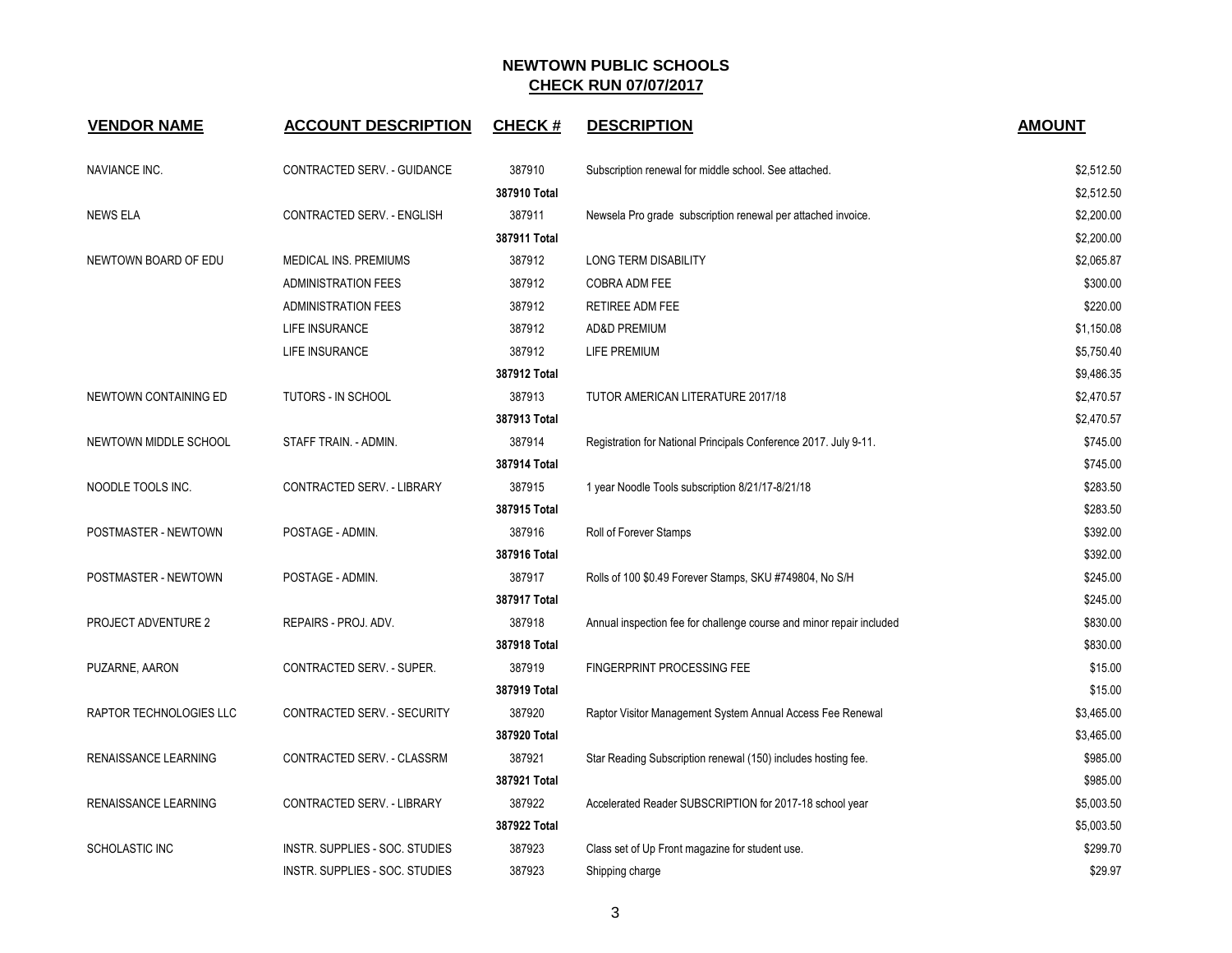| <b>VENDOR NAME</b>      | <b>ACCOUNT DESCRIPTION</b>     | <b>CHECK#</b> | <b>DESCRIPTION</b>                                                   | <b>AMOUNT</b> |
|-------------------------|--------------------------------|---------------|----------------------------------------------------------------------|---------------|
| <b>NAVIANCE INC.</b>    | CONTRACTED SERV. - GUIDANCE    | 387910        | Subscription renewal for middle school. See attached.                | \$2,512.50    |
|                         |                                | 387910 Total  |                                                                      | \$2,512.50    |
| <b>NEWS ELA</b>         | CONTRACTED SERV. - ENGLISH     | 387911        | Newsela Pro grade subscription renewal per attached invoice.         | \$2,200.00    |
|                         |                                | 387911 Total  |                                                                      | \$2,200.00    |
| NEWTOWN BOARD OF EDU    | MEDICAL INS. PREMIUMS          | 387912        | LONG TERM DISABILITY                                                 | \$2,065.87    |
|                         | <b>ADMINISTRATION FEES</b>     | 387912        | COBRA ADM FEE                                                        | \$300.00      |
|                         | <b>ADMINISTRATION FEES</b>     | 387912        | RETIREE ADM FEE                                                      | \$220.00      |
|                         | LIFE INSURANCE                 | 387912        | <b>AD&amp;D PREMIUM</b>                                              | \$1,150.08    |
|                         | LIFE INSURANCE                 | 387912        | LIFE PREMIUM                                                         | \$5,750.40    |
|                         |                                | 387912 Total  |                                                                      | \$9,486.35    |
| NEWTOWN CONTAINING ED   | TUTORS - IN SCHOOL             | 387913        | TUTOR AMERICAN LITERATURE 2017/18                                    | \$2,470.57    |
|                         |                                | 387913 Total  |                                                                      | \$2,470.57    |
| NEWTOWN MIDDLE SCHOOL   | STAFF TRAIN. - ADMIN.          | 387914        | Registration for National Principals Conference 2017. July 9-11.     | \$745.00      |
|                         |                                | 387914 Total  |                                                                      | \$745.00      |
| NOODLE TOOLS INC.       | CONTRACTED SERV. - LIBRARY     | 387915        | 1 year Noodle Tools subscription 8/21/17-8/21/18                     | \$283.50      |
|                         |                                | 387915 Total  |                                                                      | \$283.50      |
| POSTMASTER - NEWTOWN    | POSTAGE - ADMIN.               | 387916        | Roll of Forever Stamps                                               | \$392.00      |
|                         |                                | 387916 Total  |                                                                      | \$392.00      |
| POSTMASTER - NEWTOWN    | POSTAGE - ADMIN.               | 387917        | Rolls of 100 \$0.49 Forever Stamps, SKU #749804, No S/H              | \$245.00      |
|                         |                                | 387917 Total  |                                                                      | \$245.00      |
| PROJECT ADVENTURE 2     | REPAIRS - PROJ. ADV.           | 387918        | Annual inspection fee for challenge course and minor repair included | \$830.00      |
|                         |                                | 387918 Total  |                                                                      | \$830.00      |
| PUZARNE, AARON          | CONTRACTED SERV. - SUPER.      | 387919        | FINGERPRINT PROCESSING FEE                                           | \$15.00       |
|                         |                                | 387919 Total  |                                                                      | \$15.00       |
| RAPTOR TECHNOLOGIES LLC | CONTRACTED SERV. - SECURITY    | 387920        | Raptor Visitor Management System Annual Access Fee Renewal           | \$3,465.00    |
|                         |                                | 387920 Total  |                                                                      | \$3,465.00    |
| RENAISSANCE LEARNING    | CONTRACTED SERV. - CLASSRM     | 387921        | Star Reading Subscription renewal (150) includes hosting fee.        | \$985.00      |
|                         |                                | 387921 Total  |                                                                      | \$985.00      |
| RENAISSANCE LEARNING    | CONTRACTED SERV. - LIBRARY     | 387922        | Accelerated Reader SUBSCRIPTION for 2017-18 school year              | \$5,003.50    |
|                         |                                | 387922 Total  |                                                                      | \$5,003.50    |
| SCHOLASTIC INC          | INSTR. SUPPLIES - SOC. STUDIES | 387923        | Class set of Up Front magazine for student use.                      | \$299.70      |
|                         | INSTR. SUPPLIES - SOC. STUDIES | 387923        | Shipping charge                                                      | \$29.97       |